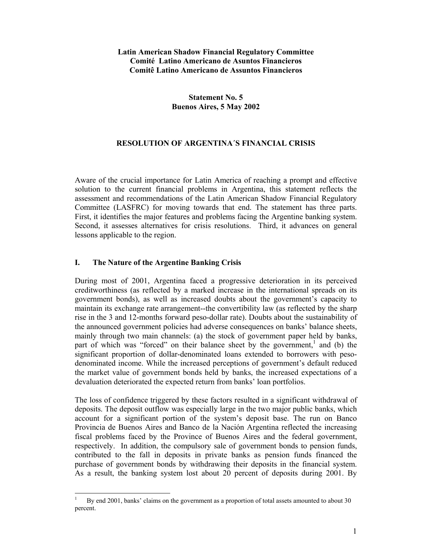#### **Latin American Shadow Financial Regulatory Committee Comité Latino Americano de Asuntos Financieros Comitê Latino Americano de Assuntos Financieros**

## **Statement No. 5 Buenos Aires, 5 May 2002**

## **RESOLUTION OF ARGENTINA´S FINANCIAL CRISIS**

Aware of the crucial importance for Latin America of reaching a prompt and effective solution to the current financial problems in Argentina, this statement reflects the assessment and recommendations of the Latin American Shadow Financial Regulatory Committee (LASFRC) for moving towards that end. The statement has three parts. First, it identifies the major features and problems facing the Argentine banking system. Second, it assesses alternatives for crisis resolutions. Third, it advances on general lessons applicable to the region.

#### **I. The Nature of the Argentine Banking Crisis**

 $\overline{a}$ 

During most of 2001, Argentina faced a progressive deterioration in its perceived creditworthiness (as reflected by a marked increase in the international spreads on its government bonds), as well as increased doubts about the government's capacity to maintain its exchange rate arrangement--the convertibility law (as reflected by the sharp rise in the 3 and 12-months forward peso-dollar rate). Doubts about the sustainability of the announced government policies had adverse consequences on banks' balance sheets, mainly through two main channels: (a) the stock of government paper held by banks, part of which was "forced" on their balance sheet by the government,<sup>1</sup> and (b) the significant proportion of dollar-denominated loans extended to borrowers with pesodenominated income. While the increased perceptions of government's default reduced the market value of government bonds held by banks, the increased expectations of a devaluation deteriorated the expected return from banks' loan portfolios.

The loss of confidence triggered by these factors resulted in a significant withdrawal of deposits. The deposit outflow was especially large in the two major public banks, which account for a significant portion of the system's deposit base. The run on Banco Provincia de Buenos Aires and Banco de la Nación Argentina reflected the increasing fiscal problems faced by the Province of Buenos Aires and the federal government, respectively. In addition, the compulsory sale of government bonds to pension funds, contributed to the fall in deposits in private banks as pension funds financed the purchase of government bonds by withdrawing their deposits in the financial system. As a result, the banking system lost about 20 percent of deposits during 2001. By

<sup>1</sup> By end 2001, banks' claims on the government as a proportion of total assets amounted to about 30 percent.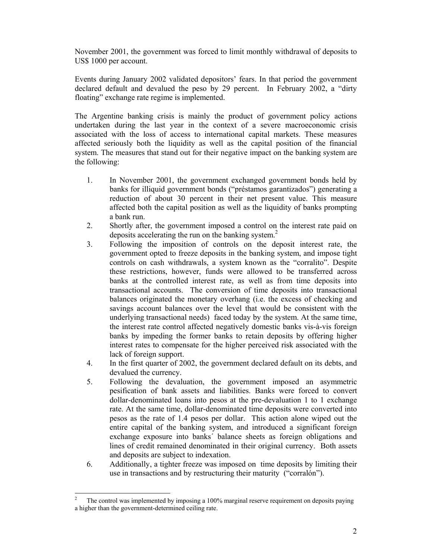November 2001, the government was forced to limit monthly withdrawal of deposits to US\$ 1000 per account.

Events during January 2002 validated depositors' fears. In that period the government declared default and devalued the peso by 29 percent. In February 2002, a "dirty floating" exchange rate regime is implemented.

The Argentine banking crisis is mainly the product of government policy actions undertaken during the last year in the context of a severe macroeconomic crisis associated with the loss of access to international capital markets. These measures affected seriously both the liquidity as well as the capital position of the financial system. The measures that stand out for their negative impact on the banking system are the following:

- 1. In November 2001, the government exchanged government bonds held by banks for illiquid government bonds ("préstamos garantizados") generating a reduction of about 30 percent in their net present value. This measure affected both the capital position as well as the liquidity of banks prompting a bank run.
- 2. Shortly after, the government imposed a control on the interest rate paid on deposits accelerating the run on the banking system.<sup>2</sup>
- 3. Following the imposition of controls on the deposit interest rate, the government opted to freeze deposits in the banking system, and impose tight controls on cash withdrawals, a system known as the "corralito". Despite these restrictions, however, funds were allowed to be transferred across banks at the controlled interest rate, as well as from time deposits into transactional accounts. The conversion of time deposits into transactional balances originated the monetary overhang (i.e. the excess of checking and savings account balances over the level that would be consistent with the underlying transactional needs) faced today by the system. At the same time, the interest rate control affected negatively domestic banks vis-à-vis foreign banks by impeding the former banks to retain deposits by offering higher interest rates to compensate for the higher perceived risk associated with the lack of foreign support.
- 4. In the first quarter of 2002, the government declared default on its debts, and devalued the currency.
- 5. Following the devaluation, the government imposed an asymmetric pesification of bank assets and liabilities. Banks were forced to convert dollar-denominated loans into pesos at the pre-devaluation 1 to 1 exchange rate. At the same time, dollar-denominated time deposits were converted into pesos as the rate of 1.4 pesos per dollar. This action alone wiped out the entire capital of the banking system, and introduced a significant foreign exchange exposure into banks´ balance sheets as foreign obligations and lines of credit remained denominated in their original currency. Both assets and deposits are subject to indexation.
- 6. Additionally, a tighter freeze was imposed on time deposits by limiting their use in transactions and by restructuring their maturity ("corralón").

 $\overline{a}$ 2 The control was implemented by imposing a 100% marginal reserve requirement on deposits paying a higher than the government-determined ceiling rate.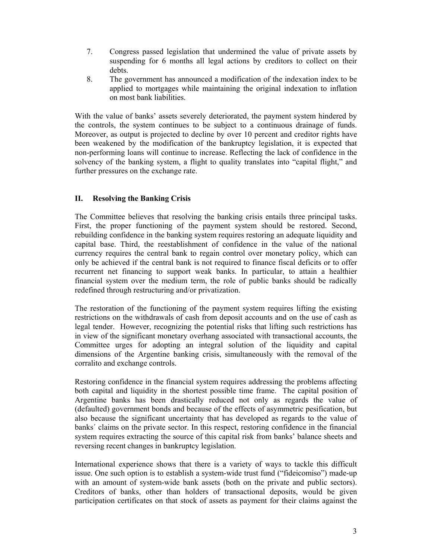- 7. Congress passed legislation that undermined the value of private assets by suspending for 6 months all legal actions by creditors to collect on their debts.
- 8. The government has announced a modification of the indexation index to be applied to mortgages while maintaining the original indexation to inflation on most bank liabilities.

With the value of banks' assets severely deteriorated, the payment system hindered by the controls, the system continues to be subject to a continuous drainage of funds. Moreover, as output is projected to decline by over 10 percent and creditor rights have been weakened by the modification of the bankruptcy legislation, it is expected that non-performing loans will continue to increase. Reflecting the lack of confidence in the solvency of the banking system, a flight to quality translates into "capital flight," and further pressures on the exchange rate.

# **II. Resolving the Banking Crisis**

The Committee believes that resolving the banking crisis entails three principal tasks. First, the proper functioning of the payment system should be restored. Second, rebuilding confidence in the banking system requires restoring an adequate liquidity and capital base. Third, the reestablishment of confidence in the value of the national currency requires the central bank to regain control over monetary policy, which can only be achieved if the central bank is not required to finance fiscal deficits or to offer recurrent net financing to support weak banks. In particular, to attain a healthier financial system over the medium term, the role of public banks should be radically redefined through restructuring and/or privatization.

The restoration of the functioning of the payment system requires lifting the existing restrictions on the withdrawals of cash from deposit accounts and on the use of cash as legal tender. However, recognizing the potential risks that lifting such restrictions has in view of the significant monetary overhang associated with transactional accounts, the Committee urges for adopting an integral solution of the liquidity and capital dimensions of the Argentine banking crisis, simultaneously with the removal of the corralito and exchange controls.

Restoring confidence in the financial system requires addressing the problems affecting both capital and liquidity in the shortest possible time frame. The capital position of Argentine banks has been drastically reduced not only as regards the value of (defaulted) government bonds and because of the effects of asymmetric pesification, but also because the significant uncertainty that has developed as regards to the value of banks´ claims on the private sector. In this respect, restoring confidence in the financial system requires extracting the source of this capital risk from banks' balance sheets and reversing recent changes in bankruptcy legislation.

International experience shows that there is a variety of ways to tackle this difficult issue. One such option is to establish a system-wide trust fund ("fideicomiso") made-up with an amount of system-wide bank assets (both on the private and public sectors). Creditors of banks, other than holders of transactional deposits, would be given participation certificates on that stock of assets as payment for their claims against the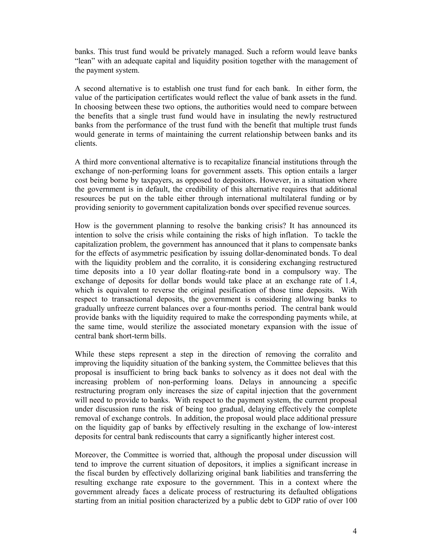banks. This trust fund would be privately managed. Such a reform would leave banks "lean" with an adequate capital and liquidity position together with the management of the payment system.

A second alternative is to establish one trust fund for each bank. In either form, the value of the participation certificates would reflect the value of bank assets in the fund. In choosing between these two options, the authorities would need to compare between the benefits that a single trust fund would have in insulating the newly restructured banks from the performance of the trust fund with the benefit that multiple trust funds would generate in terms of maintaining the current relationship between banks and its clients.

A third more conventional alternative is to recapitalize financial institutions through the exchange of non-performing loans for government assets. This option entails a larger cost being borne by taxpayers, as opposed to depositors. However, in a situation where the government is in default, the credibility of this alternative requires that additional resources be put on the table either through international multilateral funding or by providing seniority to government capitalization bonds over specified revenue sources.

How is the government planning to resolve the banking crisis? It has announced its intention to solve the crisis while containing the risks of high inflation. To tackle the capitalization problem, the government has announced that it plans to compensate banks for the effects of asymmetric pesification by issuing dollar-denominated bonds. To deal with the liquidity problem and the corralito, it is considering exchanging restructured time deposits into a 10 year dollar floating-rate bond in a compulsory way. The exchange of deposits for dollar bonds would take place at an exchange rate of 1.4, which is equivalent to reverse the original pesification of those time deposits. With respect to transactional deposits, the government is considering allowing banks to gradually unfreeze current balances over a four-months period. The central bank would provide banks with the liquidity required to make the corresponding payments while, at the same time, would sterilize the associated monetary expansion with the issue of central bank short-term bills.

While these steps represent a step in the direction of removing the corralito and improving the liquidity situation of the banking system, the Committee believes that this proposal is insufficient to bring back banks to solvency as it does not deal with the increasing problem of non-performing loans. Delays in announcing a specific restructuring program only increases the size of capital injection that the government will need to provide to banks. With respect to the payment system, the current proposal under discussion runs the risk of being too gradual, delaying effectively the complete removal of exchange controls. In addition, the proposal would place additional pressure on the liquidity gap of banks by effectively resulting in the exchange of low-interest deposits for central bank rediscounts that carry a significantly higher interest cost.

Moreover, the Committee is worried that, although the proposal under discussion will tend to improve the current situation of depositors, it implies a significant increase in the fiscal burden by effectively dollarizing original bank liabilities and transferring the resulting exchange rate exposure to the government. This in a context where the government already faces a delicate process of restructuring its defaulted obligations starting from an initial position characterized by a public debt to GDP ratio of over 100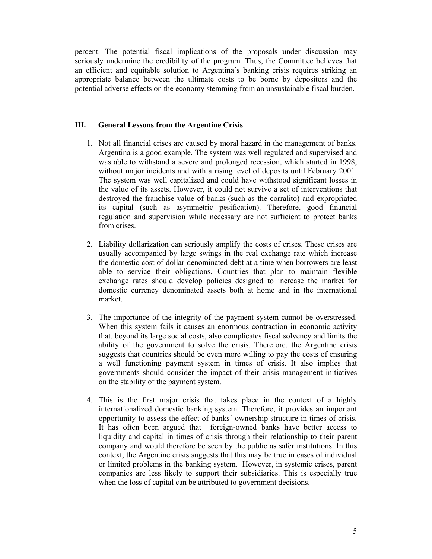percent. The potential fiscal implications of the proposals under discussion may seriously undermine the credibility of the program. Thus, the Committee believes that an efficient and equitable solution to Argentina´s banking crisis requires striking an appropriate balance between the ultimate costs to be borne by depositors and the potential adverse effects on the economy stemming from an unsustainable fiscal burden.

#### **III. General Lessons from the Argentine Crisis**

- 1. Not all financial crises are caused by moral hazard in the management of banks. Argentina is a good example. The system was well regulated and supervised and was able to withstand a severe and prolonged recession, which started in 1998, without major incidents and with a rising level of deposits until February 2001. The system was well capitalized and could have withstood significant losses in the value of its assets. However, it could not survive a set of interventions that destroyed the franchise value of banks (such as the corralito) and expropriated its capital (such as asymmetric pesification). Therefore, good financial regulation and supervision while necessary are not sufficient to protect banks from crises.
- 2. Liability dollarization can seriously amplify the costs of crises. These crises are usually accompanied by large swings in the real exchange rate which increase the domestic cost of dollar-denominated debt at a time when borrowers are least able to service their obligations. Countries that plan to maintain flexible exchange rates should develop policies designed to increase the market for domestic currency denominated assets both at home and in the international market.
- 3. The importance of the integrity of the payment system cannot be overstressed. When this system fails it causes an enormous contraction in economic activity that, beyond its large social costs, also complicates fiscal solvency and limits the ability of the government to solve the crisis. Therefore, the Argentine crisis suggests that countries should be even more willing to pay the costs of ensuring a well functioning payment system in times of crisis. It also implies that governments should consider the impact of their crisis management initiatives on the stability of the payment system.
- 4. This is the first major crisis that takes place in the context of a highly internationalized domestic banking system. Therefore, it provides an important opportunity to assess the effect of banks´ ownership structure in times of crisis. It has often been argued that foreign-owned banks have better access to liquidity and capital in times of crisis through their relationship to their parent company and would therefore be seen by the public as safer institutions. In this context, the Argentine crisis suggests that this may be true in cases of individual or limited problems in the banking system. However, in systemic crises, parent companies are less likely to support their subsidiaries. This is especially true when the loss of capital can be attributed to government decisions.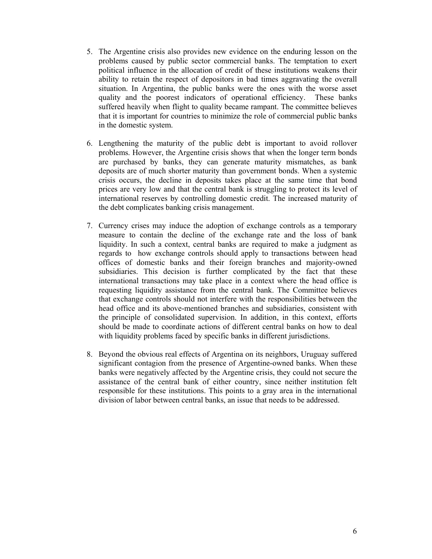- 5. The Argentine crisis also provides new evidence on the enduring lesson on the problems caused by public sector commercial banks. The temptation to exert political influence in the allocation of credit of these institutions weakens their ability to retain the respect of depositors in bad times aggravating the overall situation. In Argentina, the public banks were the ones with the worse asset quality and the poorest indicators of operational efficiency. These banks suffered heavily when flight to quality became rampant. The committee believes that it is important for countries to minimize the role of commercial public banks in the domestic system.
- 6. Lengthening the maturity of the public debt is important to avoid rollover problems. However, the Argentine crisis shows that when the longer term bonds are purchased by banks, they can generate maturity mismatches, as bank deposits are of much shorter maturity than government bonds. When a systemic crisis occurs, the decline in deposits takes place at the same time that bond prices are very low and that the central bank is struggling to protect its level of international reserves by controlling domestic credit. The increased maturity of the debt complicates banking crisis management.
- 7. Currency crises may induce the adoption of exchange controls as a temporary measure to contain the decline of the exchange rate and the loss of bank liquidity. In such a context, central banks are required to make a judgment as regards to how exchange controls should apply to transactions between head offices of domestic banks and their foreign branches and majority-owned subsidiaries. This decision is further complicated by the fact that these international transactions may take place in a context where the head office is requesting liquidity assistance from the central bank. The Committee believes that exchange controls should not interfere with the responsibilities between the head office and its above-mentioned branches and subsidiaries, consistent with the principle of consolidated supervision. In addition, in this context, efforts should be made to coordinate actions of different central banks on how to deal with liquidity problems faced by specific banks in different jurisdictions.
- 8. Beyond the obvious real effects of Argentina on its neighbors, Uruguay suffered significant contagion from the presence of Argentine-owned banks. When these banks were negatively affected by the Argentine crisis, they could not secure the assistance of the central bank of either country, since neither institution felt responsible for these institutions. This points to a gray area in the international division of labor between central banks, an issue that needs to be addressed.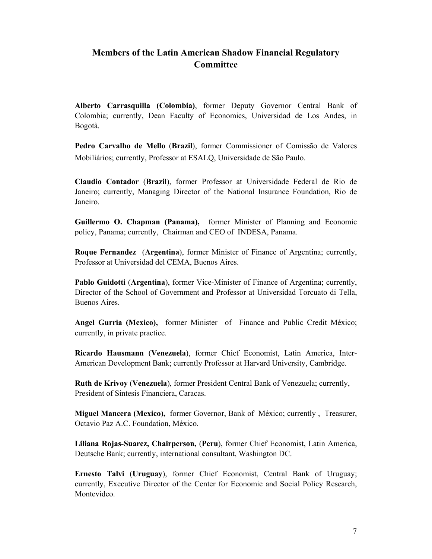# **Members of the Latin American Shadow Financial Regulatory Committee**

**Alberto Carrasquilla (Colombia)**, former Deputy Governor Central Bank of Colombia; currently, Dean Faculty of Economics, Universidad de Los Andes, in Bogotà.

**Pedro Carvalho de Mello** (**Brazil**), former Commissioner of Comissão de Valores Mobiliários; currently, Professor at ESALQ, Universidade de São Paulo.

**Claudio Contador** (**Brazil**), former Professor at Universidade Federal de Rio de Janeiro; currently, Managing Director of the National Insurance Foundation, Rio de Janeiro.

**Guillermo O. Chapman (Panama),** former Minister of Planning and Economic policy, Panama; currently, Chairman and CEO of INDESA, Panama.

**Roque Fernandez** (**Argentina**), former Minister of Finance of Argentina; currently, Professor at Universidad del CEMA, Buenos Aires.

**Pablo Guidotti** (**Argentina**), former Vice-Minister of Finance of Argentina; currently, Director of the School of Government and Professor at Universidad Torcuato di Tella, Buenos Aires.

**Angel Gurria (Mexico),** former Minister of Finance and Public Credit México; currently, in private practice.

**Ricardo Hausmann** (**Venezuela**), former Chief Economist, Latin America, Inter-American Development Bank; currently Professor at Harvard University, Cambridge.

**Ruth de Krivoy** (**Venezuela**), former President Central Bank of Venezuela; currently, President of Sintesis Financiera, Caracas.

**Miguel Mancera (Mexico),** former Governor, Bank of México; currently , Treasurer, Octavio Paz A.C. Foundation, México.

**Liliana Rojas-Suarez, Chairperson,** (**Peru**), former Chief Economist, Latin America, Deutsche Bank; currently, international consultant, Washington DC.

**Ernesto Talvi** (**Uruguay**), former Chief Economist, Central Bank of Uruguay; currently, Executive Director of the Center for Economic and Social Policy Research, Montevideo.